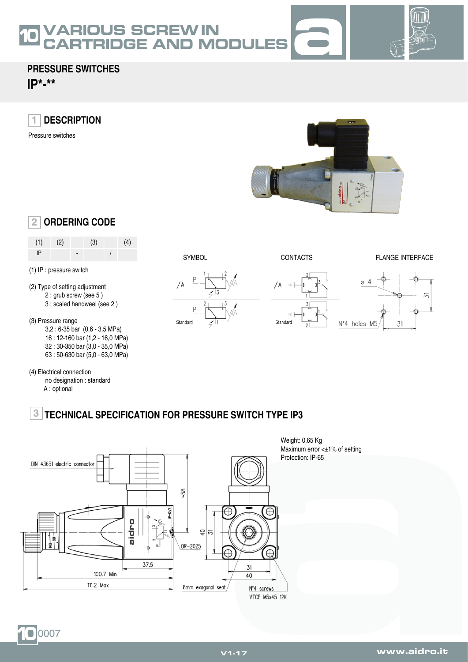### **OUS SCREW IN** CARTRIDGE AND MODULES 10



## **PRESSURE SWITCHES**

**IP\*-\*\***

**DESCRIPTION 1**

Pressure switches



# **ORDERING CODE 2**

| (1) | (2) | (3) | (4) |
|-----|-----|-----|-----|
| IP  |     |     |     |

#### (1) IP : pressure switch

- (2) Type of setting adjustment 2 : grub screw (see 5 )
	- 3 : scaled handweel (see 2 )

(3) Pressure range

- 3,2 : 6-35 bar (0,6 3,5 MPa)
	- 16 : 12-160 bar (1,2 16,0 MPa) 32 : 30-350 bar (3,0 - 35,0 MPa)
	- 63 : 50-630 bar (5,0 63,0 MPa)
- (4) Electrical connection
	- no designation : standard A : optional
		-









#### **TECHNICAL SPECIFICATION FOR PRESSURE SWITCH TYPE IP3 3**



Weight: 0,65 Kg Maximum error <±1% of setting Protection: IP-65

#### 10 0007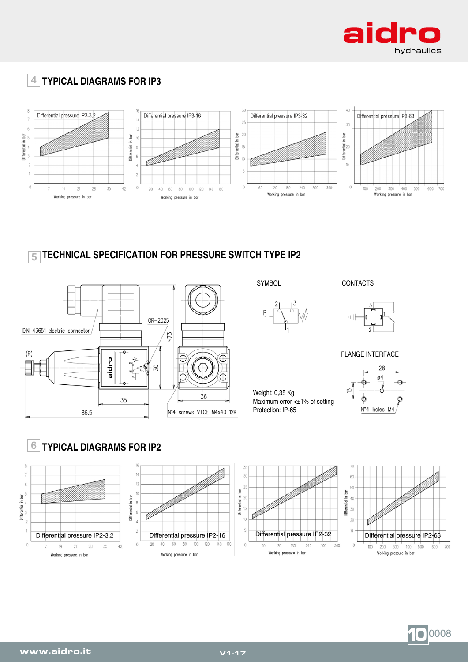

# **TYPICAL DIAGRAMS FOR IP3 4**



#### **TECHNICAL SPECIFICATION FOR PRESSURE SWITCH TYPE IP2 5**





SYMBOL CONTACTS



FLANGE INTERFACE

Weight: 0,35 Kg Maximum error <±1% of setting Protection: IP-65